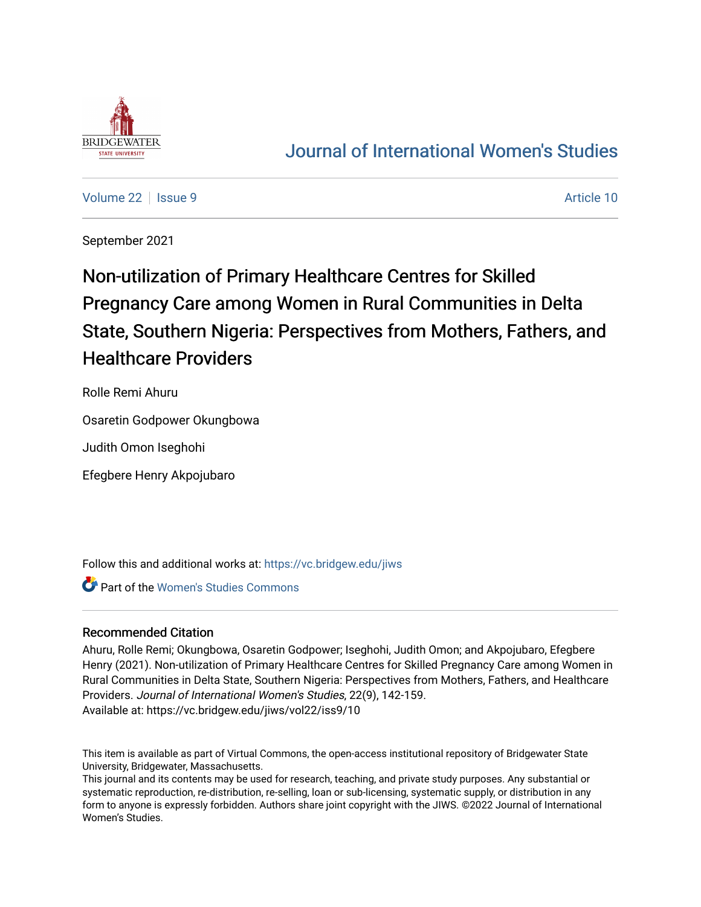

## [Journal of International Women's Studies](https://vc.bridgew.edu/jiws)

[Volume 22](https://vc.bridgew.edu/jiws/vol22) | [Issue 9](https://vc.bridgew.edu/jiws/vol22/iss9) Article 10

September 2021

# Non-utilization of Primary Healthcare Centres for Skilled Pregnancy Care among Women in Rural Communities in Delta State, Southern Nigeria: Perspectives from Mothers, Fathers, and Healthcare Providers

Rolle Remi Ahuru

Osaretin Godpower Okungbowa

Judith Omon Iseghohi

Efegbere Henry Akpojubaro

Follow this and additional works at: [https://vc.bridgew.edu/jiws](https://vc.bridgew.edu/jiws?utm_source=vc.bridgew.edu%2Fjiws%2Fvol22%2Fiss9%2F10&utm_medium=PDF&utm_campaign=PDFCoverPages)

**Part of the Women's Studies Commons** 

## Recommended Citation

Ahuru, Rolle Remi; Okungbowa, Osaretin Godpower; Iseghohi, Judith Omon; and Akpojubaro, Efegbere Henry (2021). Non-utilization of Primary Healthcare Centres for Skilled Pregnancy Care among Women in Rural Communities in Delta State, Southern Nigeria: Perspectives from Mothers, Fathers, and Healthcare Providers. Journal of International Women's Studies, 22(9), 142-159. Available at: https://vc.bridgew.edu/jiws/vol22/iss9/10

This item is available as part of Virtual Commons, the open-access institutional repository of Bridgewater State University, Bridgewater, Massachusetts.

This journal and its contents may be used for research, teaching, and private study purposes. Any substantial or systematic reproduction, re-distribution, re-selling, loan or sub-licensing, systematic supply, or distribution in any form to anyone is expressly forbidden. Authors share joint copyright with the JIWS. ©2022 Journal of International Women's Studies.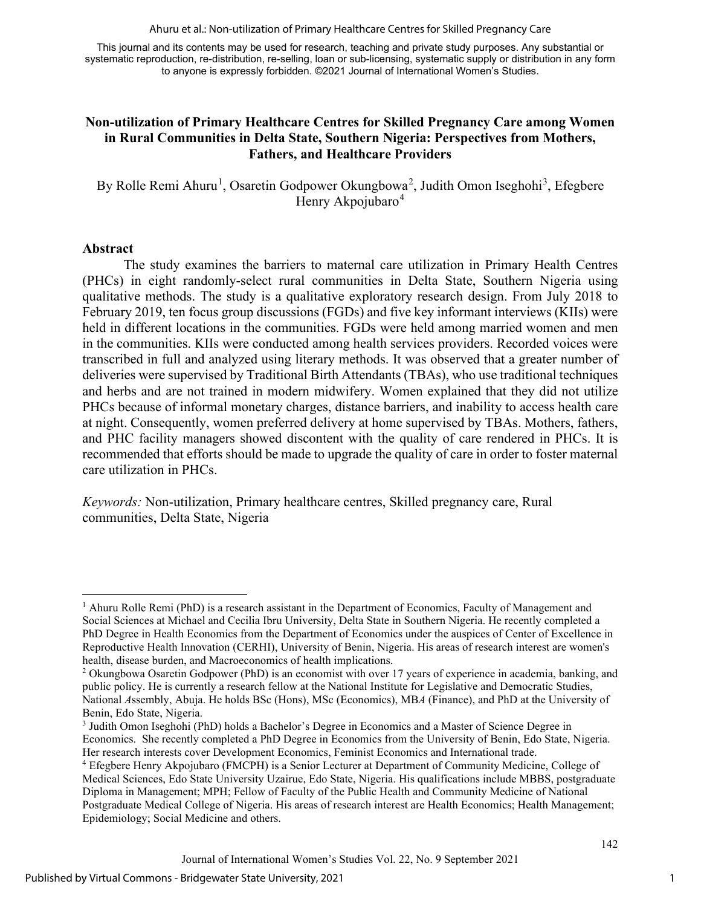Ahuru et al.: Non-utilization of Primary Healthcare Centres for Skilled Pregnancy Care

This journal and its contents may be used for research, teaching and private study purposes. Any substantial or systematic reproduction, re-distribution, re-selling, loan or sub-licensing, systematic supply or distribution in any form to anyone is expressly forbidden. ©2021 Journal of International Women's Studies.

## **Non-utilization of Primary Healthcare Centres for Skilled Pregnancy Care among Women in Rural Communities in Delta State, Southern Nigeria: Perspectives from Mothers, Fathers, and Healthcare Providers**

By Rolle Remi Ahuru<sup>[1](#page-1-0)</sup>, Osaretin Godpower Okungbowa<sup>[2](#page-1-1)</sup>, Judith Omon Iseghohi<sup>[3](#page-1-2)</sup>, Efegbere Henry Akpojubaro<sup>[4](#page-1-3)</sup>

#### **Abstract**

The study examines the barriers to maternal care utilization in Primary Health Centres (PHCs) in eight randomly-select rural communities in Delta State, Southern Nigeria using qualitative methods. The study is a qualitative exploratory research design. From July 2018 to February 2019, ten focus group discussions (FGDs) and five key informant interviews (KIIs) were held in different locations in the communities. FGDs were held among married women and men in the communities. KIIs were conducted among health services providers. Recorded voices were transcribed in full and analyzed using literary methods. It was observed that a greater number of deliveries were supervised by Traditional Birth Attendants (TBAs), who use traditional techniques and herbs and are not trained in modern midwifery. Women explained that they did not utilize PHCs because of informal monetary charges, distance barriers, and inability to access health care at night. Consequently, women preferred delivery at home supervised by TBAs. Mothers, fathers, and PHC facility managers showed discontent with the quality of care rendered in PHCs. It is recommended that efforts should be made to upgrade the quality of care in order to foster maternal care utilization in PHCs.

*Keywords:* Non-utilization, Primary healthcare centres, Skilled pregnancy care, Rural communities, Delta State, Nigeria

<span id="page-1-0"></span> $1$  Ahuru Rolle Remi (PhD) is a research assistant in the Department of Economics, Faculty of Management and Social Sciences at Michael and Cecilia Ibru University, Delta State in Southern Nigeria. He recently completed a PhD Degree in Health Economics from the Department of Economics under the auspices of Center of Excellence in Reproductive Health Innovation (CERHI), University of Benin, Nigeria. His areas of research interest are women's health, disease burden, and Macroeconomics of health implications.

<span id="page-1-1"></span><sup>2</sup> Okungbowa Osaretin Godpower (PhD) is an economist with over 17 years of experience in academia, banking, and public policy. He is currently a research fellow at the National Institute for Legislative and Democratic Studies, National *A*ssembly, Abuja. He holds BSc (Hons), MSc (Economics), MB*A* (Finance), and PhD at the University of Benin, Edo State, Nigeria.

<span id="page-1-2"></span><sup>3</sup> Judith Omon Iseghohi (PhD) holds a Bachelor's Degree in Economics and a Master of Science Degree in Economics. She recently completed a PhD Degree in Economics from the University of Benin, Edo State, Nigeria. Her research interests cover Development Economics, Feminist Economics and International trade.

<span id="page-1-3"></span><sup>4</sup> Efegbere Henry Akpojubaro (FMCPH) is a Senior Lecturer at Department of Community Medicine, College of Medical Sciences, Edo State University Uzairue, Edo State, Nigeria. His qualifications include MBBS, postgraduate Diploma in Management; MPH; Fellow of Faculty of the Public Health and Community Medicine of National Postgraduate Medical College of Nigeria. His areas of research interest are Health Economics; Health Management; Epidemiology; Social Medicine and others.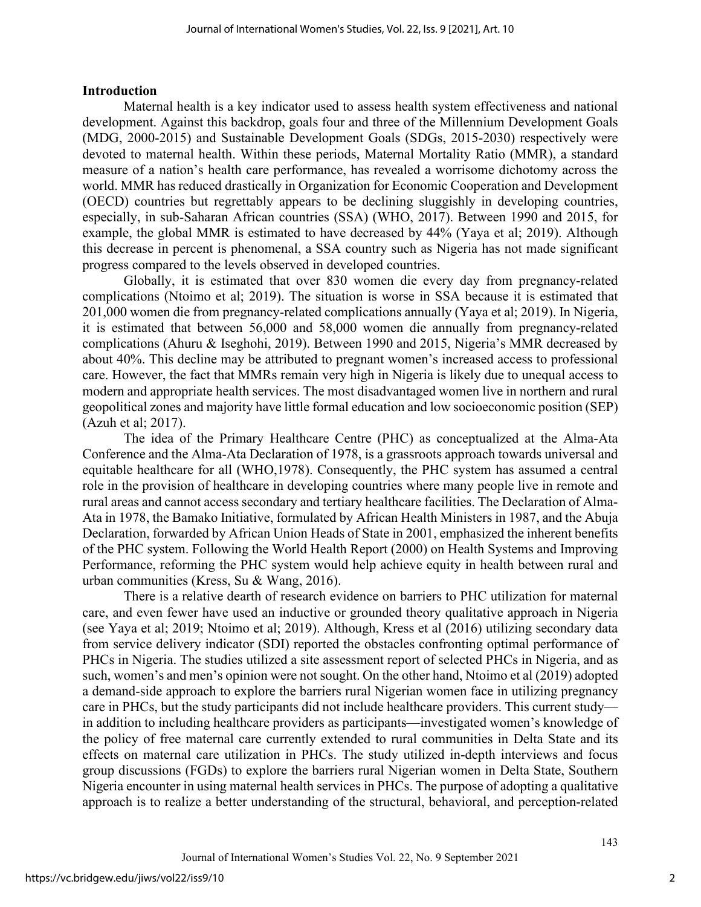#### **Introduction**

Maternal health is a key indicator used to assess health system effectiveness and national development. Against this backdrop, goals four and three of the Millennium Development Goals (MDG, 2000-2015) and Sustainable Development Goals (SDGs, 2015-2030) respectively were devoted to maternal health. Within these periods, Maternal Mortality Ratio (MMR), a standard measure of a nation's health care performance, has revealed a worrisome dichotomy across the world. MMR has reduced drastically in Organization for Economic Cooperation and Development (OECD) countries but regrettably appears to be declining sluggishly in developing countries, especially, in sub-Saharan African countries (SSA) (WHO, 2017). Between 1990 and 2015, for example, the global MMR is estimated to have decreased by 44% (Yaya et al; 2019). Although this decrease in percent is phenomenal, a SSA country such as Nigeria has not made significant progress compared to the levels observed in developed countries.

Globally, it is estimated that over 830 women die every day from pregnancy-related complications (Ntoimo et al; 2019). The situation is worse in SSA because it is estimated that 201,000 women die from pregnancy-related complications annually (Yaya et al; 2019). In Nigeria, it is estimated that between 56,000 and 58,000 women die annually from pregnancy-related complications (Ahuru & Iseghohi, 2019). Between 1990 and 2015, Nigeria's MMR decreased by about 40%. This decline may be attributed to pregnant women's increased access to professional care. However, the fact that MMRs remain very high in Nigeria is likely due to unequal access to modern and appropriate health services. The most disadvantaged women live in northern and rural geopolitical zones and majority have little formal education and low socioeconomic position (SEP) (Azuh et al; 2017).

The idea of the Primary Healthcare Centre (PHC) as conceptualized at the Alma-Ata Conference and the Alma-Ata Declaration of 1978, is a grassroots approach towards universal and equitable healthcare for all (WHO,1978). Consequently, the PHC system has assumed a central role in the provision of healthcare in developing countries where many people live in remote and rural areas and cannot access secondary and tertiary healthcare facilities. The Declaration of Alma-Ata in 1978, the Bamako Initiative, formulated by African Health Ministers in 1987, and the Abuja Declaration, forwarded by African Union Heads of State in 2001, emphasized the inherent benefits of the PHC system. Following the World Health Report (2000) on Health Systems and Improving Performance, reforming the PHC system would help achieve equity in health between rural and urban communities (Kress, Su & Wang, 2016).

There is a relative dearth of research evidence on barriers to PHC utilization for maternal care, and even fewer have used an inductive or grounded theory qualitative approach in Nigeria (see Yaya et al; 2019; Ntoimo et al; 2019). Although, Kress et al (2016) utilizing secondary data from service delivery indicator (SDI) reported the obstacles confronting optimal performance of PHCs in Nigeria. The studies utilized a site assessment report of selected PHCs in Nigeria, and as such, women's and men's opinion were not sought. On the other hand, Ntoimo et al (2019) adopted a demand-side approach to explore the barriers rural Nigerian women face in utilizing pregnancy care in PHCs, but the study participants did not include healthcare providers. This current study in addition to including healthcare providers as participants—investigated women's knowledge of the policy of free maternal care currently extended to rural communities in Delta State and its effects on maternal care utilization in PHCs. The study utilized in-depth interviews and focus group discussions (FGDs) to explore the barriers rural Nigerian women in Delta State, Southern Nigeria encounter in using maternal health services in PHCs. The purpose of adopting a qualitative approach is to realize a better understanding of the structural, behavioral, and perception-related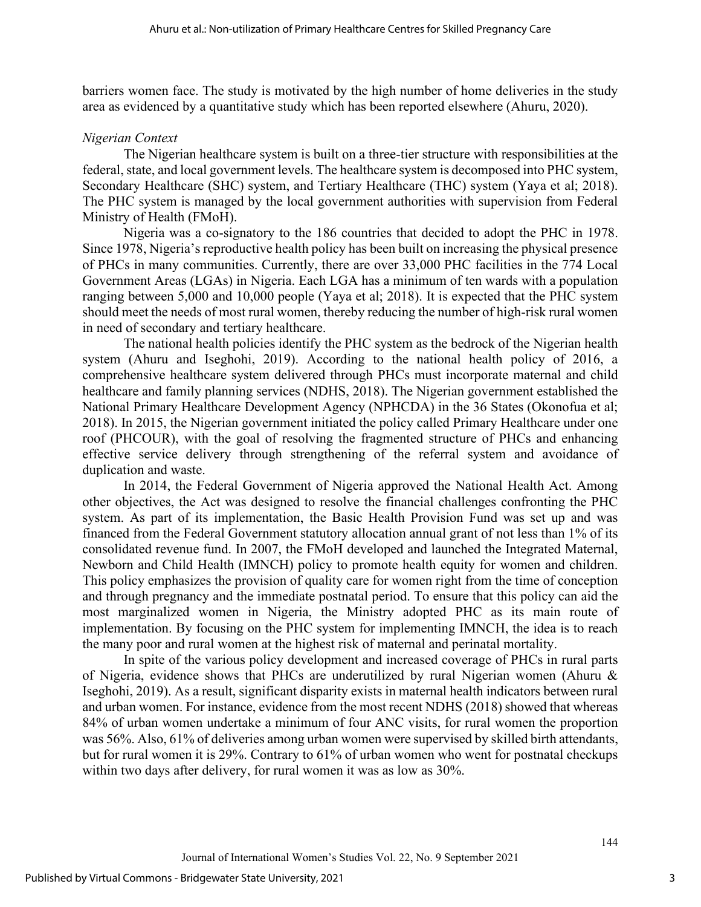barriers women face. The study is motivated by the high number of home deliveries in the study area as evidenced by a quantitative study which has been reported elsewhere (Ahuru, 2020).

## *Nigerian Context*

The Nigerian healthcare system is built on a three-tier structure with responsibilities at the federal, state, and local government levels. The healthcare system is decomposed into PHC system, Secondary Healthcare (SHC) system, and Tertiary Healthcare (THC) system (Yaya et al; 2018). The PHC system is managed by the local government authorities with supervision from Federal Ministry of Health (FMoH).

Nigeria was a co-signatory to the 186 countries that decided to adopt the PHC in 1978. Since 1978, Nigeria's reproductive health policy has been built on increasing the physical presence of PHCs in many communities. Currently, there are over 33,000 PHC facilities in the 774 Local Government Areas (LGAs) in Nigeria. Each LGA has a minimum of ten wards with a population ranging between 5,000 and 10,000 people (Yaya et al; 2018). It is expected that the PHC system should meet the needs of most rural women, thereby reducing the number of high-risk rural women in need of secondary and tertiary healthcare.

The national health policies identify the PHC system as the bedrock of the Nigerian health system (Ahuru and Iseghohi, 2019). According to the national health policy of 2016, a comprehensive healthcare system delivered through PHCs must incorporate maternal and child healthcare and family planning services (NDHS, 2018). The Nigerian government established the National Primary Healthcare Development Agency (NPHCDA) in the 36 States (Okonofua et al; 2018). In 2015, the Nigerian government initiated the policy called Primary Healthcare under one roof (PHCOUR), with the goal of resolving the fragmented structure of PHCs and enhancing effective service delivery through strengthening of the referral system and avoidance of duplication and waste.

In 2014, the Federal Government of Nigeria approved the National Health Act. Among other objectives, the Act was designed to resolve the financial challenges confronting the PHC system. As part of its implementation, the Basic Health Provision Fund was set up and was financed from the Federal Government statutory allocation annual grant of not less than 1% of its consolidated revenue fund. In 2007, the FMoH developed and launched the Integrated Maternal, Newborn and Child Health (IMNCH) policy to promote health equity for women and children. This policy emphasizes the provision of quality care for women right from the time of conception and through pregnancy and the immediate postnatal period. To ensure that this policy can aid the most marginalized women in Nigeria, the Ministry adopted PHC as its main route of implementation. By focusing on the PHC system for implementing IMNCH, the idea is to reach the many poor and rural women at the highest risk of maternal and perinatal mortality.

In spite of the various policy development and increased coverage of PHCs in rural parts of Nigeria, evidence shows that PHCs are underutilized by rural Nigerian women (Ahuru & Iseghohi, 2019). As a result, significant disparity exists in maternal health indicators between rural and urban women. For instance, evidence from the most recent NDHS (2018) showed that whereas 84% of urban women undertake a minimum of four ANC visits, for rural women the proportion was 56%. Also, 61% of deliveries among urban women were supervised by skilled birth attendants, but for rural women it is 29%. Contrary to 61% of urban women who went for postnatal checkups within two days after delivery, for rural women it was as low as 30%.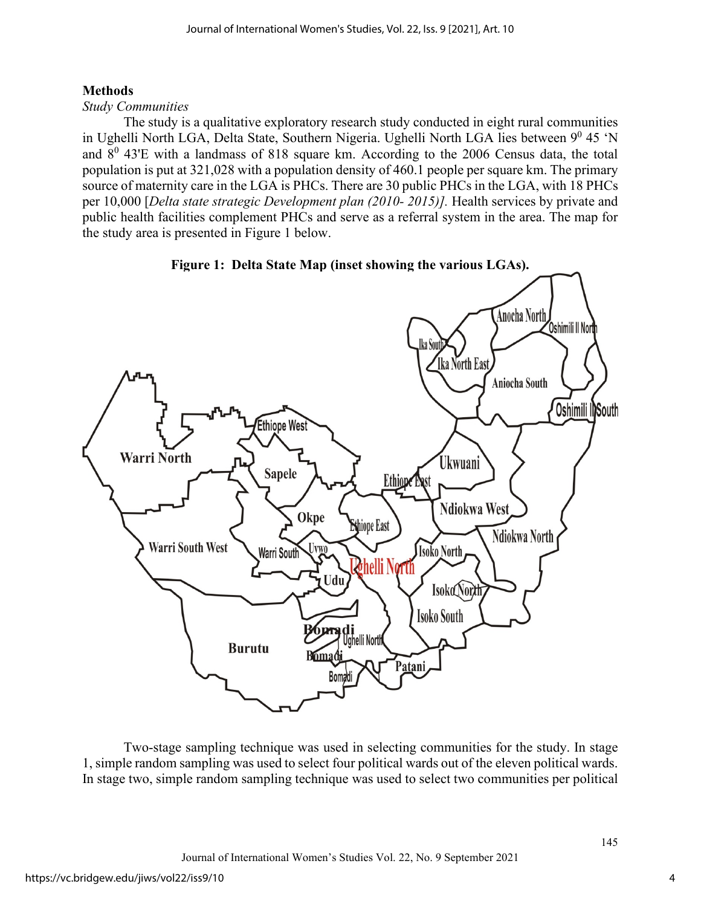## **Methods**

## *Study Communities*

The study is a qualitative exploratory research study conducted in eight rural communities in Ughelli North LGA, Delta State, Southern Nigeria. Ughelli North LGA lies between  $9^0$  45 'N and  $8^0$  43'E with a landmass of 818 square km. According to the 2006 Census data, the total population is put at 321,028 with a population density of 460.1 people per square km. The primary source of maternity care in the LGA is PHCs. There are 30 public PHCs in the LGA, with 18 PHCs per 10,000 [*Delta state strategic Development plan (2010- 2015)].* Health services by private and public health facilities complement PHCs and serve as a referral system in the area. The map for the study area is presented in Figure 1 below.



Two-stage sampling technique was used in selecting communities for the study. In stage 1, simple random sampling was used to select four political wards out of the eleven political wards. In stage two, simple random sampling technique was used to select two communities per political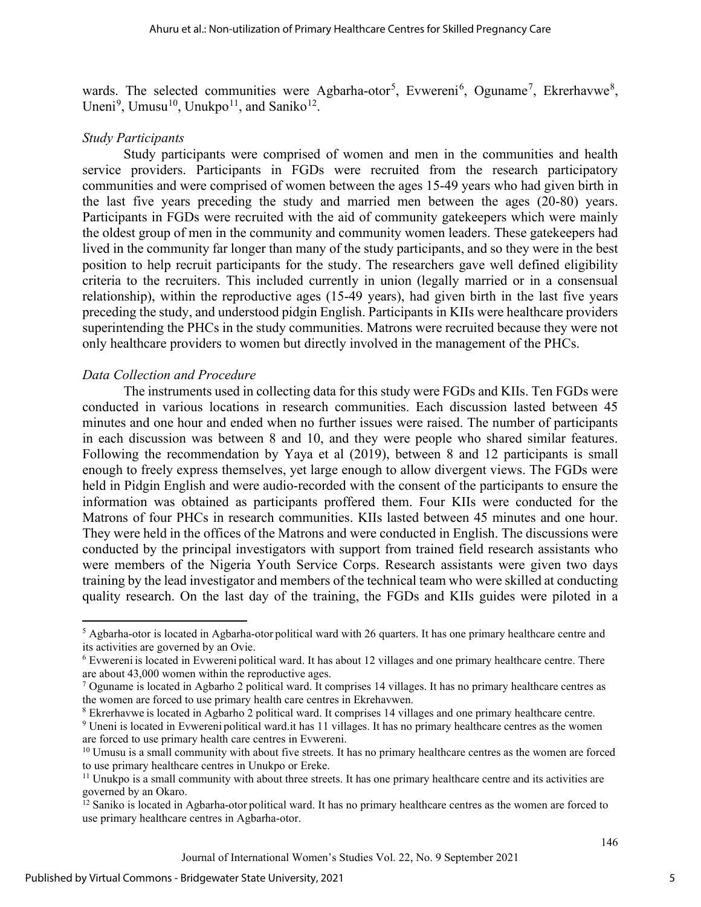wards. The selected communities were Agbarha-otor<sup>[5](#page-5-0)</sup>, Evwereni<sup>[6](#page-5-1)</sup>, Oguname<sup>[7](#page-5-2)</sup>, Ekrerhavwe<sup>[8](#page-5-3)</sup>, Uneni<sup>[9](#page-5-4)</sup>, Umusu<sup>[10](#page-5-5)</sup>, Unukpo<sup>11</sup>, and Saniko<sup>12</sup>.

#### *Study Participants*

Study participants were comprised of women and men in the communities and health service providers. Participants in FGDs were recruited from the research participatory communities and were comprised of women between the ages 15-49 years who had given birth in the last five years preceding the study and married men between the ages (20-80) years. Participants in FGDs were recruited with the aid of community gatekeepers which were mainly the oldest group of men in the community and community women leaders. These gatekeepers had lived in the community far longer than many of the study participants, and so they were in the best position to help recruit participants for the study. The researchers gave well defined eligibility criteria to the recruiters. This included currently in union (legally married or in a consensual relationship), within the reproductive ages (15-49 years), had given birth in the last five years preceding the study, and understood pidgin English. Participants in KIIs were healthcare providers superintending the PHCs in the study communities. Matrons were recruited because they were not only healthcare providers to women but directly involved in the management of the PHCs.

#### *Data Collection and Procedure*

The instruments used in collecting data for this study were FGDs and KIIs. Ten FGDs were conducted in various locations in research communities. Each discussion lasted between 45 minutes and one hour and ended when no further issues were raised. The number of participants in each discussion was between 8 and 10, and they were people who shared similar features. Following the recommendation by Yaya et al (2019), between 8 and 12 participants is small enough to freely express themselves, yet large enough to allow divergent views. The FGDs were held in Pidgin English and were audio-recorded with the consent of the participants to ensure the information was obtained as participants proffered them. Four KIIs were conducted for the Matrons of four PHCs in research communities. KIIs lasted between 45 minutes and one hour. They were held in the offices of the Matrons and were conducted in English. The discussions were conducted by the principal investigators with support from trained field research assistants who were members of the Nigeria Youth Service Corps. Research assistants were given two days training by the lead investigator and members of the technical team who were skilled at conducting quality research. On the last day of the training, the FGDs and KIIs guides were piloted in a

<span id="page-5-3"></span><sup>8</sup> Ekrerhavwe is located in Agbarho 2 political ward. It comprises 14 villages and one primary healthcare centre.

<span id="page-5-0"></span> $<sup>5</sup>$  Agbarha-otor is located in Agbarha-otor political ward with 26 quarters. It has one primary healthcare centre and</sup> its activities are governed by an Ovie.

<span id="page-5-1"></span><sup>6</sup> Evwereni is located in Evwereni political ward. It has about 12 villages and one primary healthcare centre. There are about 43,000 women within the reproductive ages.

<span id="page-5-2"></span><sup>7</sup> Oguname is located in Agbarho 2 political ward. It comprises 14 villages. It has no primary healthcare centres as the women are forced to use primary health care centres in Ekrehavwen.

<span id="page-5-4"></span><sup>9</sup> Uneni is located in Evwereni political ward.it has 11 villages. It has no primary healthcare centres as the women are forced to use primary health care centres in Evwereni.

<span id="page-5-5"></span><sup>&</sup>lt;sup>10</sup> Umusu is a small community with about five streets. It has no primary healthcare centres as the women are forced to use primary healthcare centres in Unukpo or Ereke.

<span id="page-5-6"></span><sup>&</sup>lt;sup>11</sup> Unukpo is a small community with about three streets. It has one primary healthcare centre and its activities are governed by an Okaro.

<span id="page-5-7"></span><sup>&</sup>lt;sup>12</sup> Saniko is located in Agbarha-otor political ward. It has no primary healthcare centres as the women are forced to use primary healthcare centres in Agbarha-otor.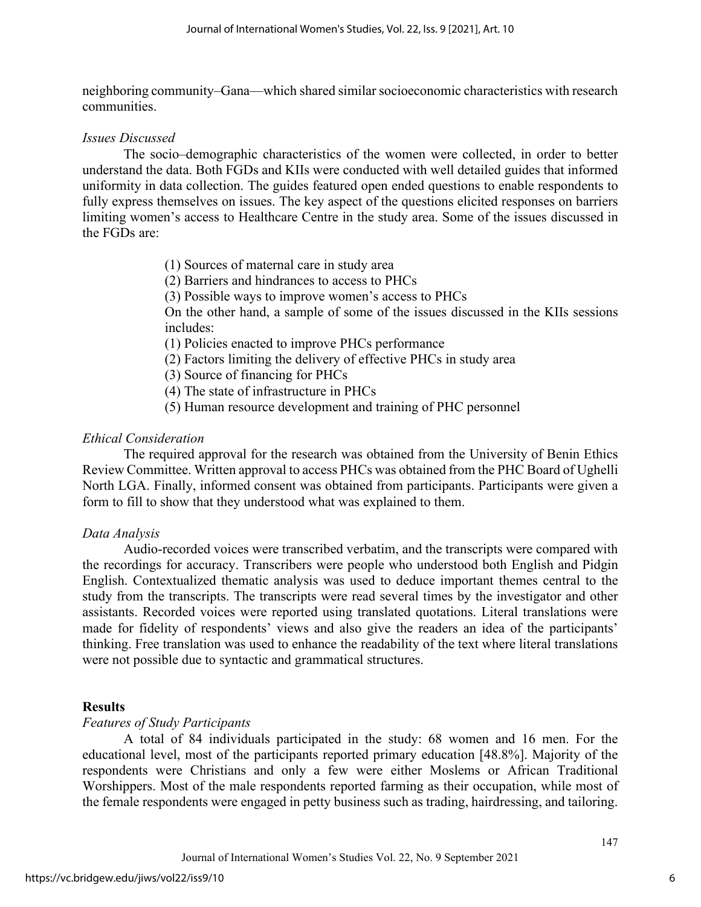neighboring community–Gana—which shared similar socioeconomic characteristics with research communities.

## *Issues Discussed*

The socio–demographic characteristics of the women were collected, in order to better understand the data. Both FGDs and KIIs were conducted with well detailed guides that informed uniformity in data collection. The guides featured open ended questions to enable respondents to fully express themselves on issues. The key aspect of the questions elicited responses on barriers limiting women's access to Healthcare Centre in the study area. Some of the issues discussed in the FGDs are:

- (1) Sources of maternal care in study area
- (2) Barriers and hindrances to access to PHCs
- (3) Possible ways to improve women's access to PHCs

On the other hand, a sample of some of the issues discussed in the KIIs sessions includes:

(1) Policies enacted to improve PHCs performance

- (2) Factors limiting the delivery of effective PHCs in study area
- (3) Source of financing for PHCs
- (4) The state of infrastructure in PHCs
- (5) Human resource development and training of PHC personnel

## *Ethical Consideration*

The required approval for the research was obtained from the University of Benin Ethics Review Committee. Written approval to access PHCs was obtained from the PHC Board of Ughelli North LGA. Finally, informed consent was obtained from participants. Participants were given a form to fill to show that they understood what was explained to them.

## *Data Analysis*

 Audio-recorded voices were transcribed verbatim, and the transcripts were compared with the recordings for accuracy. Transcribers were people who understood both English and Pidgin English. Contextualized thematic analysis was used to deduce important themes central to the study from the transcripts. The transcripts were read several times by the investigator and other assistants. Recorded voices were reported using translated quotations. Literal translations were made for fidelity of respondents' views and also give the readers an idea of the participants' thinking. Free translation was used to enhance the readability of the text where literal translations were not possible due to syntactic and grammatical structures.

## **Results**

## *Features of Study Participants*

 A total of 84 individuals participated in the study: 68 women and 16 men. For the educational level, most of the participants reported primary education [48.8%]. Majority of the respondents were Christians and only a few were either Moslems or African Traditional Worshippers. Most of the male respondents reported farming as their occupation, while most of the female respondents were engaged in petty business such as trading, hairdressing, and tailoring.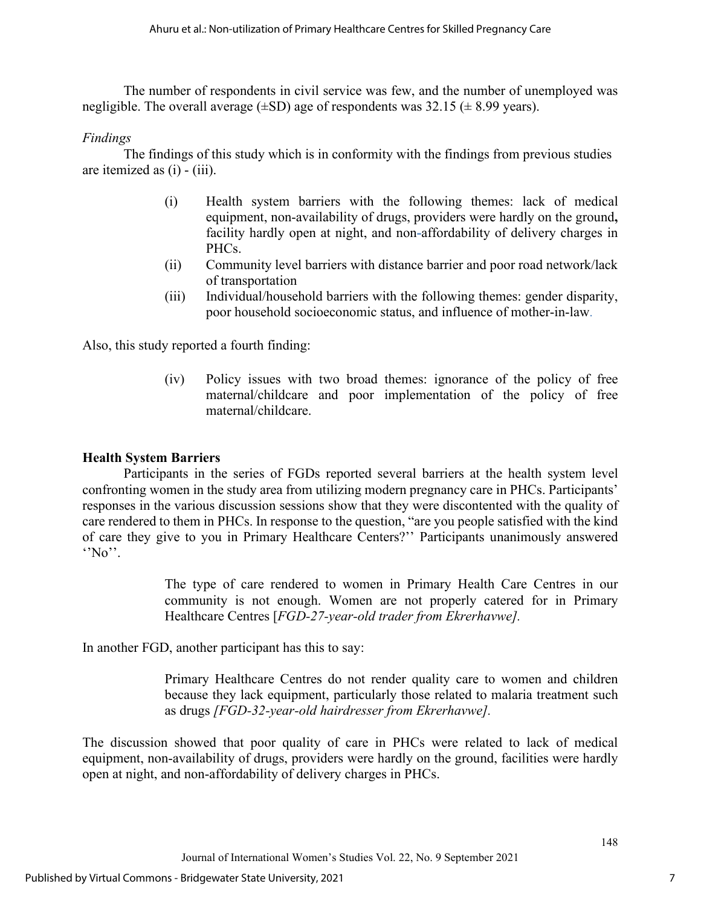The number of respondents in civil service was few, and the number of unemployed was negligible. The overall average  $(\pm SD)$  age of respondents was 32.15 ( $\pm$  8.99 years).

## *Findings*

 The findings of this study which is in conformity with the findings from previous studies are itemized as (i) - (iii).

- (i) Health system barriers with the following themes: lack of medical equipment, non-availability of drugs, providers were hardly on the ground**,** facility hardly open at night, and non**-**affordability of delivery charges in PHCs.
- (ii) Community level barriers with distance barrier and poor road network/lack of transportation
- (iii) Individual/household barriers with the following themes: gender disparity, poor household socioeconomic status, and influence of mother-in-law.

Also, this study reported a fourth finding:

(iv) Policy issues with two broad themes: ignorance of the policy of free maternal/childcare and poor implementation of the policy of free maternal/childcare.

## **Health System Barriers**

Participants in the series of FGDs reported several barriers at the health system level confronting women in the study area from utilizing modern pregnancy care in PHCs. Participants' responses in the various discussion sessions show that they were discontented with the quality of care rendered to them in PHCs. In response to the question, "are you people satisfied with the kind of care they give to you in Primary Healthcare Centers?'' Participants unanimously answered  $\cdot$ <sup>'</sup>No''.

> The type of care rendered to women in Primary Health Care Centres in our community is not enough. Women are not properly catered for in Primary Healthcare Centres [*FGD-27-year-old trader from Ekrerhavwe].*

In another FGD, another participant has this to say:

Primary Healthcare Centres do not render quality care to women and children because they lack equipment, particularly those related to malaria treatment such as drugs *[FGD-32-year-old hairdresser from Ekrerhavwe].*

The discussion showed that poor quality of care in PHCs were related to lack of medical equipment, non-availability of drugs, providers were hardly on the ground, facilities were hardly open at night, and non-affordability of delivery charges in PHCs.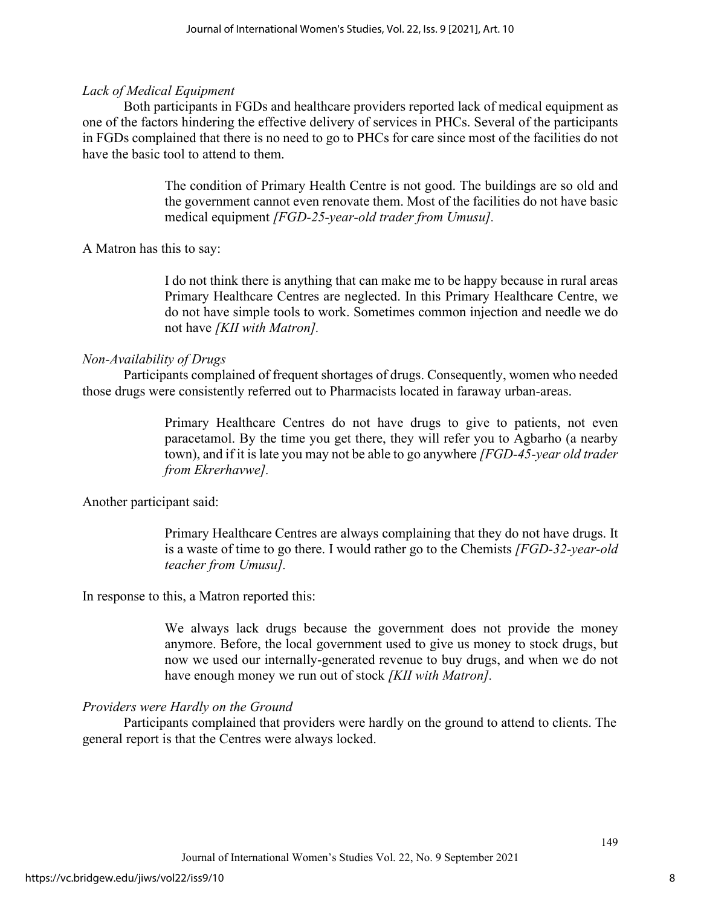## *Lack of Medical Equipment*

Both participants in FGDs and healthcare providers reported lack of medical equipment as one of the factors hindering the effective delivery of services in PHCs. Several of the participants in FGDs complained that there is no need to go to PHCs for care since most of the facilities do not have the basic tool to attend to them.

> The condition of Primary Health Centre is not good. The buildings are so old and the government cannot even renovate them. Most of the facilities do not have basic medical equipment *[FGD-25-year-old trader from Umusu].*

A Matron has this to say:

I do not think there is anything that can make me to be happy because in rural areas Primary Healthcare Centres are neglected. In this Primary Healthcare Centre, we do not have simple tools to work. Sometimes common injection and needle we do not have *[KII with Matron].*

## *Non-Availability of Drugs*

Participants complained of frequent shortages of drugs. Consequently, women who needed those drugs were consistently referred out to Pharmacists located in faraway urban-areas.

> Primary Healthcare Centres do not have drugs to give to patients, not even paracetamol. By the time you get there, they will refer you to Agbarho (a nearby town), and if it is late you may not be able to go anywhere *[FGD-45-year old trader from Ekrerhavwe].*

Another participant said:

Primary Healthcare Centres are always complaining that they do not have drugs. It is a waste of time to go there. I would rather go to the Chemists *[FGD-32-year-old teacher from Umusu].* 

In response to this, a Matron reported this:

We always lack drugs because the government does not provide the money anymore. Before, the local government used to give us money to stock drugs, but now we used our internally-generated revenue to buy drugs, and when we do not have enough money we run out of stock *[KII with Matron].*

## *Providers were Hardly on the Ground*

 Participants complained that providers were hardly on the ground to attend to clients. The general report is that the Centres were always locked.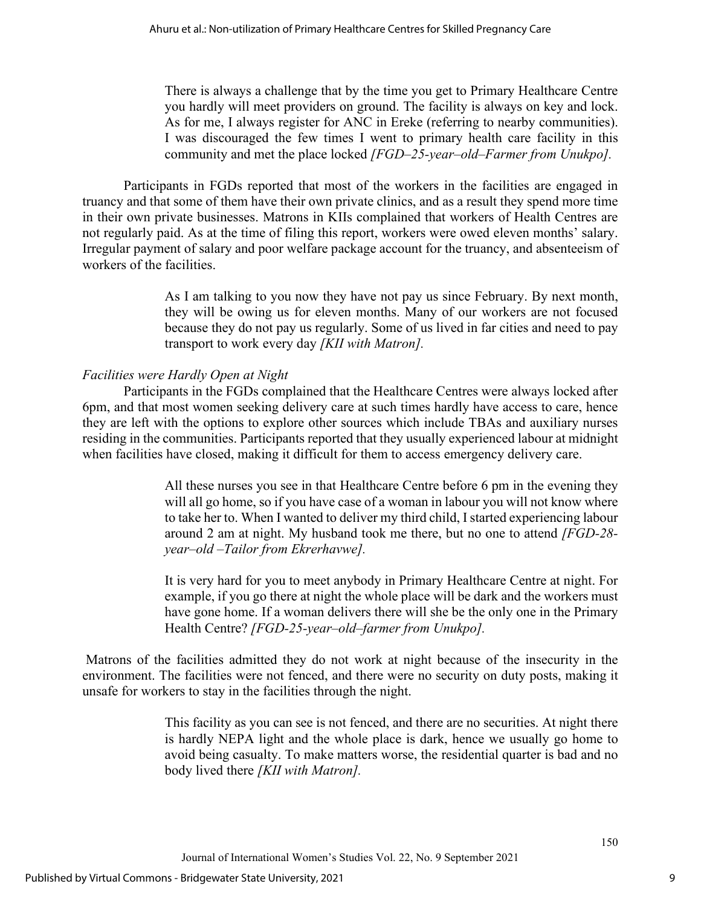There is always a challenge that by the time you get to Primary Healthcare Centre you hardly will meet providers on ground. The facility is always on key and lock. As for me, I always register for ANC in Ereke (referring to nearby communities). I was discouraged the few times I went to primary health care facility in this community and met the place locked *[FGD–25-year–old–Farmer from Unukpo].* 

Participants in FGDs reported that most of the workers in the facilities are engaged in truancy and that some of them have their own private clinics, and as a result they spend more time in their own private businesses. Matrons in KIIs complained that workers of Health Centres are not regularly paid. As at the time of filing this report, workers were owed eleven months' salary. Irregular payment of salary and poor welfare package account for the truancy, and absenteeism of workers of the facilities.

> As I am talking to you now they have not pay us since February. By next month, they will be owing us for eleven months. Many of our workers are not focused because they do not pay us regularly. Some of us lived in far cities and need to pay transport to work every day *[KII with Matron].*

## *Facilities were Hardly Open at Night*

Participants in the FGDs complained that the Healthcare Centres were always locked after 6pm, and that most women seeking delivery care at such times hardly have access to care, hence they are left with the options to explore other sources which include TBAs and auxiliary nurses residing in the communities. Participants reported that they usually experienced labour at midnight when facilities have closed, making it difficult for them to access emergency delivery care.

> All these nurses you see in that Healthcare Centre before 6 pm in the evening they will all go home, so if you have case of a woman in labour you will not know where to take her to. When I wanted to deliver my third child, I started experiencing labour around 2 am at night. My husband took me there, but no one to attend *[FGD-28 year–old –Tailor from Ekrerhavwe].*

> It is very hard for you to meet anybody in Primary Healthcare Centre at night. For example, if you go there at night the whole place will be dark and the workers must have gone home. If a woman delivers there will she be the only one in the Primary Health Centre? *[FGD-25-year–old–farmer from Unukpo].*

Matrons of the facilities admitted they do not work at night because of the insecurity in the environment. The facilities were not fenced, and there were no security on duty posts, making it unsafe for workers to stay in the facilities through the night.

> This facility as you can see is not fenced, and there are no securities. At night there is hardly NEPA light and the whole place is dark, hence we usually go home to avoid being casualty. To make matters worse, the residential quarter is bad and no body lived there *[KII with Matron].*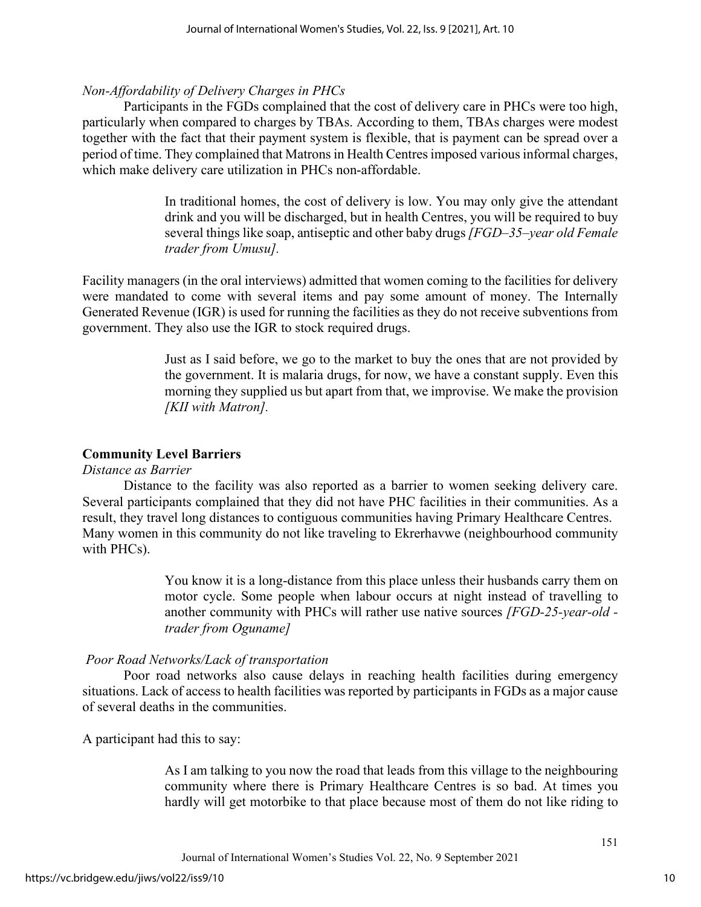## *Non-Affordability of Delivery Charges in PHCs*

 Participants in the FGDs complained that the cost of delivery care in PHCs were too high, particularly when compared to charges by TBAs. According to them, TBAs charges were modest together with the fact that their payment system is flexible, that is payment can be spread over a period of time. They complained that Matrons in Health Centres imposed various informal charges, which make delivery care utilization in PHCs non-affordable.

> In traditional homes, the cost of delivery is low. You may only give the attendant drink and you will be discharged, but in health Centres, you will be required to buy several things like soap, antiseptic and other baby drugs *[FGD–35–year old Female trader from Umusu].*

Facility managers (in the oral interviews) admitted that women coming to the facilities for delivery were mandated to come with several items and pay some amount of money. The Internally Generated Revenue (IGR) is used for running the facilities as they do not receive subventions from government. They also use the IGR to stock required drugs.

> Just as I said before, we go to the market to buy the ones that are not provided by the government. It is malaria drugs, for now, we have a constant supply. Even this morning they supplied us but apart from that, we improvise. We make the provision *[KII with Matron].*

## **Community Level Barriers**

## *Distance as Barrier*

Distance to the facility was also reported as a barrier to women seeking delivery care. Several participants complained that they did not have PHC facilities in their communities. As a result, they travel long distances to contiguous communities having Primary Healthcare Centres. Many women in this community do not like traveling to Ekrerhavwe (neighbourhood community with PHCs).

> You know it is a long-distance from this place unless their husbands carry them on motor cycle. Some people when labour occurs at night instead of travelling to another community with PHCs will rather use native sources *[FGD-25-year-old trader from Oguname]*

## *Poor Road Networks/Lack of transportation*

Poor road networks also cause delays in reaching health facilities during emergency situations. Lack of access to health facilities was reported by participants in FGDs as a major cause of several deaths in the communities.

A participant had this to say:

As I am talking to you now the road that leads from this village to the neighbouring community where there is Primary Healthcare Centres is so bad. At times you hardly will get motorbike to that place because most of them do not like riding to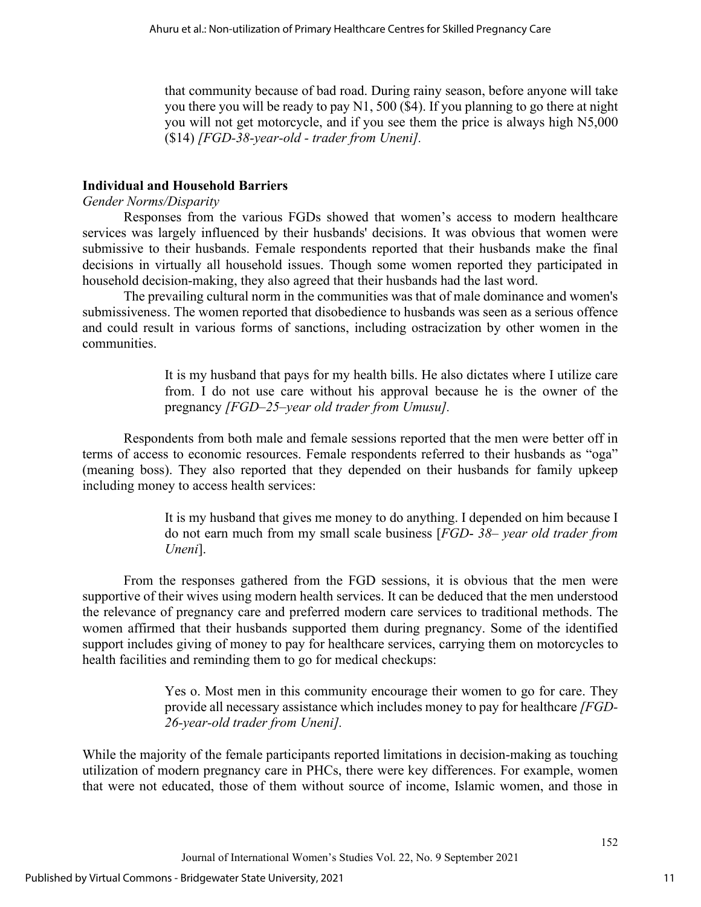that community because of bad road. During rainy season, before anyone will take you there you will be ready to pay N1, 500 (\$4). If you planning to go there at night you will not get motorcycle, and if you see them the price is always high N5,000 (\$14) *[FGD-38-year-old - trader from Uneni].* 

## **Individual and Household Barriers**

## *Gender Norms/Disparity*

Responses from the various FGDs showed that women's access to modern healthcare services was largely influenced by their husbands' decisions. It was obvious that women were submissive to their husbands. Female respondents reported that their husbands make the final decisions in virtually all household issues. Though some women reported they participated in household decision-making, they also agreed that their husbands had the last word.

The prevailing cultural norm in the communities was that of male dominance and women's submissiveness. The women reported that disobedience to husbands was seen as a serious offence and could result in various forms of sanctions, including ostracization by other women in the communities.

> It is my husband that pays for my health bills. He also dictates where I utilize care from. I do not use care without his approval because he is the owner of the pregnancy *[FGD–25–year old trader from Umusu].*

Respondents from both male and female sessions reported that the men were better off in terms of access to economic resources. Female respondents referred to their husbands as "oga" (meaning boss). They also reported that they depended on their husbands for family upkeep including money to access health services:

> It is my husband that gives me money to do anything. I depended on him because I do not earn much from my small scale business [*FGD*- *38*– *year old trader from Uneni*].

From the responses gathered from the FGD sessions, it is obvious that the men were supportive of their wives using modern health services. It can be deduced that the men understood the relevance of pregnancy care and preferred modern care services to traditional methods. The women affirmed that their husbands supported them during pregnancy. Some of the identified support includes giving of money to pay for healthcare services, carrying them on motorcycles to health facilities and reminding them to go for medical checkups:

> Yes o. Most men in this community encourage their women to go for care. They provide all necessary assistance which includes money to pay for healthcare *[FGD-26-year-old trader from Uneni].*

While the majority of the female participants reported limitations in decision-making as touching utilization of modern pregnancy care in PHCs, there were key differences. For example, women that were not educated, those of them without source of income, Islamic women, and those in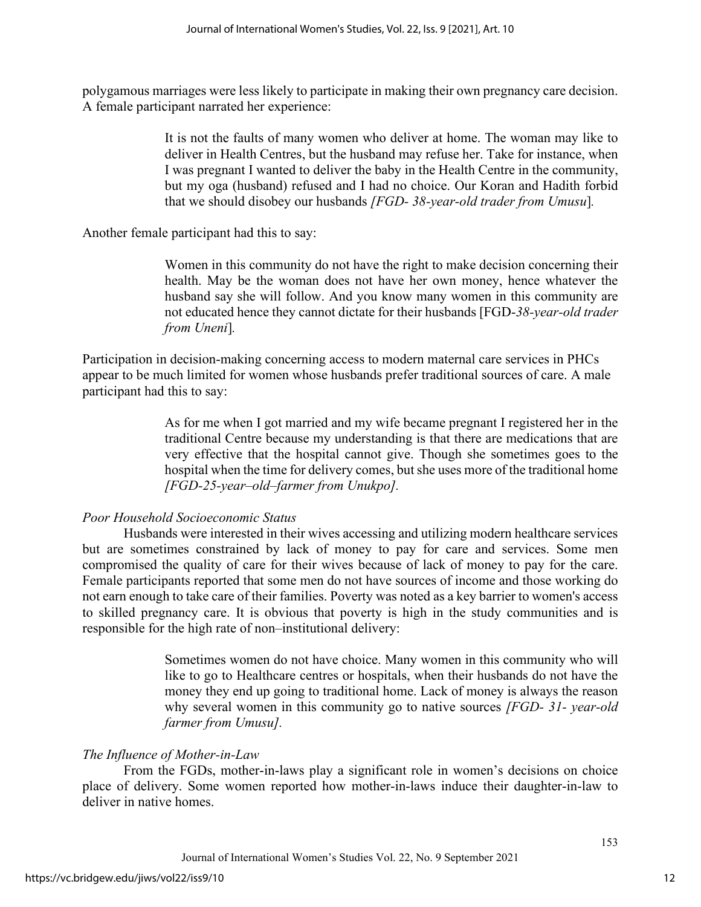polygamous marriages were less likely to participate in making their own pregnancy care decision. A female participant narrated her experience:

> It is not the faults of many women who deliver at home. The woman may like to deliver in Health Centres, but the husband may refuse her. Take for instance, when I was pregnant I wanted to deliver the baby in the Health Centre in the community, but my oga (husband) refused and I had no choice. Our Koran and Hadith forbid that we should disobey our husbands *[FGD- 38-year-old trader from Umusu*]*.*

Another female participant had this to say:

Women in this community do not have the right to make decision concerning their health. May be the woman does not have her own money, hence whatever the husband say she will follow. And you know many women in this community are not educated hence they cannot dictate for their husbands [FGD-*38-year-old trader from Uneni*]*.* 

Participation in decision-making concerning access to modern maternal care services in PHCs appear to be much limited for women whose husbands prefer traditional sources of care. A male participant had this to say:

> As for me when I got married and my wife became pregnant I registered her in the traditional Centre because my understanding is that there are medications that are very effective that the hospital cannot give. Though she sometimes goes to the hospital when the time for delivery comes, but she uses more of the traditional home *[FGD-25-year–old–farmer from Unukpo].*

## *Poor Household Socioeconomic Status*

Husbands were interested in their wives accessing and utilizing modern healthcare services but are sometimes constrained by lack of money to pay for care and services. Some men compromised the quality of care for their wives because of lack of money to pay for the care. Female participants reported that some men do not have sources of income and those working do not earn enough to take care of their families. Poverty was noted as a key barrier to women's access to skilled pregnancy care. It is obvious that poverty is high in the study communities and is responsible for the high rate of non–institutional delivery:

> Sometimes women do not have choice. Many women in this community who will like to go to Healthcare centres or hospitals, when their husbands do not have the money they end up going to traditional home. Lack of money is always the reason why several women in this community go to native sources *[FGD- 31- year-old farmer from Umusu].*

## *The Influence of Mother-in-Law*

From the FGDs, mother-in-laws play a significant role in women's decisions on choice place of delivery. Some women reported how mother-in-laws induce their daughter-in-law to deliver in native homes.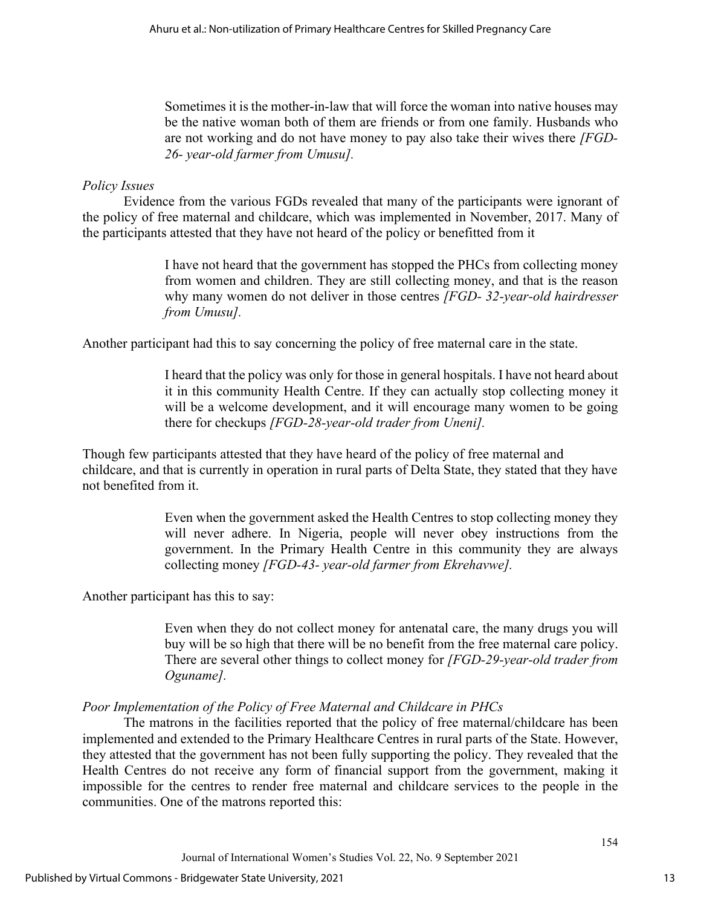Sometimes it is the mother-in-law that will force the woman into native houses may be the native woman both of them are friends or from one family. Husbands who are not working and do not have money to pay also take their wives there *[FGD-26- year-old farmer from Umusu].* 

## *Policy Issues*

Evidence from the various FGDs revealed that many of the participants were ignorant of the policy of free maternal and childcare, which was implemented in November, 2017. Many of the participants attested that they have not heard of the policy or benefitted from it

> I have not heard that the government has stopped the PHCs from collecting money from women and children. They are still collecting money, and that is the reason why many women do not deliver in those centres *[FGD- 32-year-old hairdresser from Umusu].*

Another participant had this to say concerning the policy of free maternal care in the state.

I heard that the policy was only for those in general hospitals. I have not heard about it in this community Health Centre. If they can actually stop collecting money it will be a welcome development, and it will encourage many women to be going there for checkups *[FGD-28-year-old trader from Uneni].*

Though few participants attested that they have heard of the policy of free maternal and childcare, and that is currently in operation in rural parts of Delta State, they stated that they have not benefited from it.

> Even when the government asked the Health Centres to stop collecting money they will never adhere. In Nigeria, people will never obey instructions from the government. In the Primary Health Centre in this community they are always collecting money *[FGD-43- year-old farmer from Ekrehavwe].*

Another participant has this to say:

Even when they do not collect money for antenatal care, the many drugs you will buy will be so high that there will be no benefit from the free maternal care policy. There are several other things to collect money for *[FGD-29-year-old trader from Oguname].*

## *Poor Implementation of the Policy of Free Maternal and Childcare in PHCs*

 The matrons in the facilities reported that the policy of free maternal/childcare has been implemented and extended to the Primary Healthcare Centres in rural parts of the State. However, they attested that the government has not been fully supporting the policy. They revealed that the Health Centres do not receive any form of financial support from the government, making it impossible for the centres to render free maternal and childcare services to the people in the communities. One of the matrons reported this: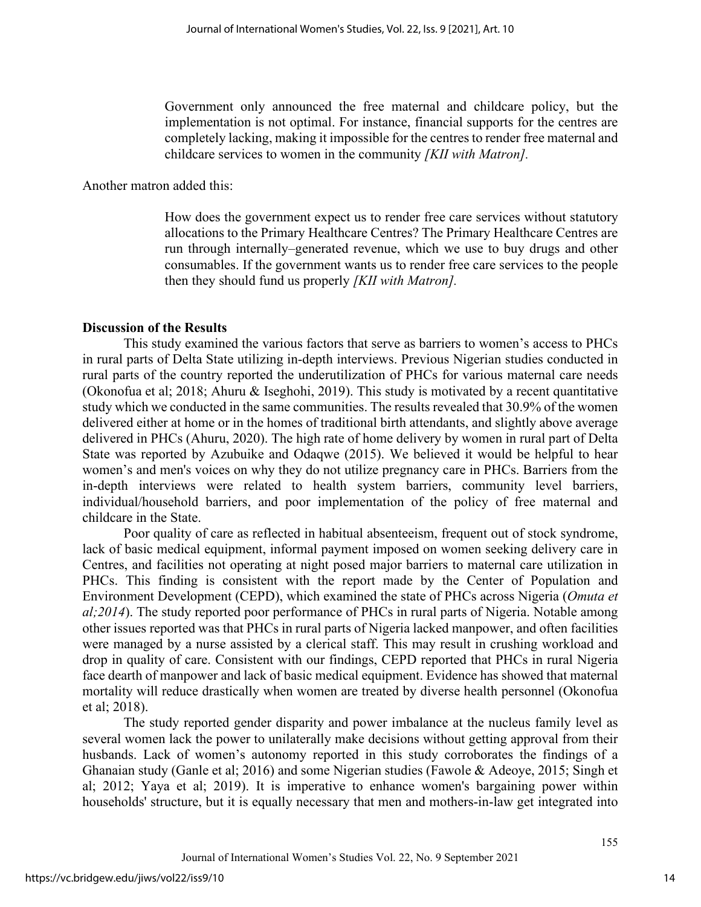Government only announced the free maternal and childcare policy, but the implementation is not optimal. For instance, financial supports for the centres are completely lacking, making it impossible for the centres to render free maternal and childcare services to women in the community *[KII with Matron].*

Another matron added this:

How does the government expect us to render free care services without statutory allocations to the Primary Healthcare Centres? The Primary Healthcare Centres are run through internally–generated revenue, which we use to buy drugs and other consumables. If the government wants us to render free care services to the people then they should fund us properly *[KII with Matron].* 

## **Discussion of the Results**

This study examined the various factors that serve as barriers to women's access to PHCs in rural parts of Delta State utilizing in-depth interviews. Previous Nigerian studies conducted in rural parts of the country reported the underutilization of PHCs for various maternal care needs (Okonofua et al; 2018; Ahuru & Iseghohi, 2019). This study is motivated by a recent quantitative study which we conducted in the same communities. The results revealed that 30.9% of the women delivered either at home or in the homes of traditional birth attendants, and slightly above average delivered in PHCs (Ahuru, 2020). The high rate of home delivery by women in rural part of Delta State was reported by Azubuike and Odaqwe (2015). We believed it would be helpful to hear women's and men's voices on why they do not utilize pregnancy care in PHCs. Barriers from the in-depth interviews were related to health system barriers, community level barriers, individual/household barriers, and poor implementation of the policy of free maternal and childcare in the State.

Poor quality of care as reflected in habitual absenteeism, frequent out of stock syndrome, lack of basic medical equipment, informal payment imposed on women seeking delivery care in Centres, and facilities not operating at night posed major barriers to maternal care utilization in PHCs. This finding is consistent with the report made by the Center of Population and Environment Development (CEPD), which examined the state of PHCs across Nigeria (*Omuta et al;2014*). The study reported poor performance of PHCs in rural parts of Nigeria. Notable among other issues reported was that PHCs in rural parts of Nigeria lacked manpower, and often facilities were managed by a nurse assisted by a clerical staff. This may result in crushing workload and drop in quality of care. Consistent with our findings, CEPD reported that PHCs in rural Nigeria face dearth of manpower and lack of basic medical equipment. Evidence has showed that maternal mortality will reduce drastically when women are treated by diverse health personnel (Okonofua et al; 2018).

The study reported gender disparity and power imbalance at the nucleus family level as several women lack the power to unilaterally make decisions without getting approval from their husbands. Lack of women's autonomy reported in this study corroborates the findings of a Ghanaian study (Ganle et al; 2016) and some Nigerian studies (Fawole & Adeoye, 2015; Singh et al; 2012; Yaya et al; 2019). It is imperative to enhance women's bargaining power within households' structure, but it is equally necessary that men and mothers-in-law get integrated into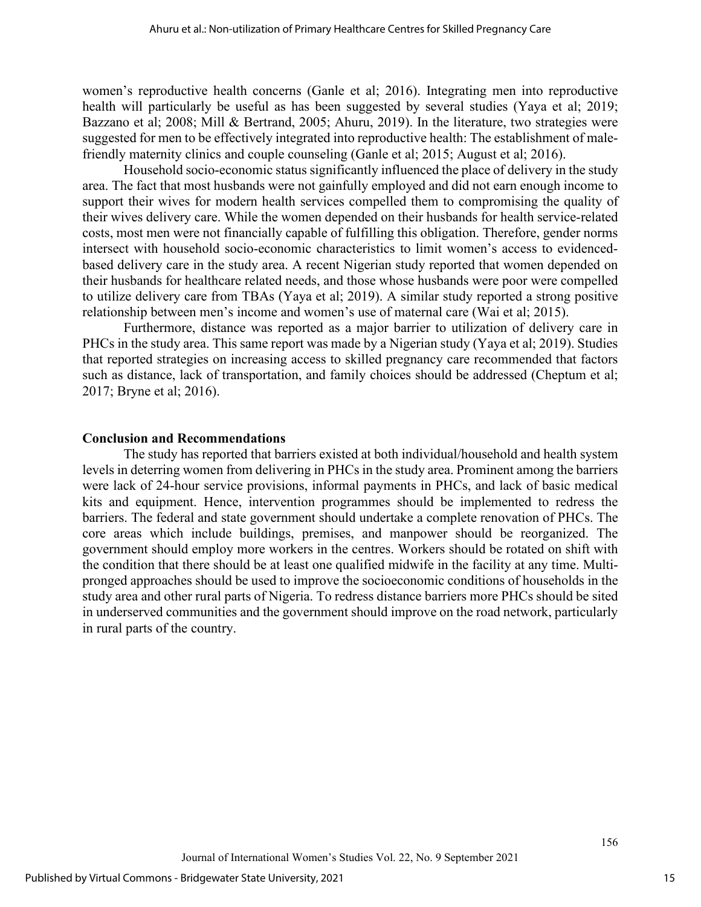women's reproductive health concerns (Ganle et al; 2016). Integrating men into reproductive health will particularly be useful as has been suggested by several studies (Yaya et al; 2019; Bazzano et al; 2008; Mill & Bertrand, 2005; Ahuru, 2019). In the literature, two strategies were suggested for men to be effectively integrated into reproductive health: The establishment of malefriendly maternity clinics and couple counseling (Ganle et al; 2015; August et al; 2016).

Household socio-economic status significantly influenced the place of delivery in the study area. The fact that most husbands were not gainfully employed and did not earn enough income to support their wives for modern health services compelled them to compromising the quality of their wives delivery care. While the women depended on their husbands for health service-related costs, most men were not financially capable of fulfilling this obligation. Therefore, gender norms intersect with household socio-economic characteristics to limit women's access to evidencedbased delivery care in the study area. A recent Nigerian study reported that women depended on their husbands for healthcare related needs, and those whose husbands were poor were compelled to utilize delivery care from TBAs (Yaya et al; 2019). A similar study reported a strong positive relationship between men's income and women's use of maternal care (Wai et al; 2015).

Furthermore, distance was reported as a major barrier to utilization of delivery care in PHCs in the study area. This same report was made by a Nigerian study (Yaya et al; 2019). Studies that reported strategies on increasing access to skilled pregnancy care recommended that factors such as distance, lack of transportation, and family choices should be addressed (Cheptum et al; 2017; Bryne et al; 2016).

#### **Conclusion and Recommendations**

The study has reported that barriers existed at both individual/household and health system levels in deterring women from delivering in PHCs in the study area. Prominent among the barriers were lack of 24-hour service provisions, informal payments in PHCs, and lack of basic medical kits and equipment. Hence, intervention programmes should be implemented to redress the barriers. The federal and state government should undertake a complete renovation of PHCs. The core areas which include buildings, premises, and manpower should be reorganized. The government should employ more workers in the centres. Workers should be rotated on shift with the condition that there should be at least one qualified midwife in the facility at any time. Multipronged approaches should be used to improve the socioeconomic conditions of households in the study area and other rural parts of Nigeria. To redress distance barriers more PHCs should be sited in underserved communities and the government should improve on the road network, particularly in rural parts of the country.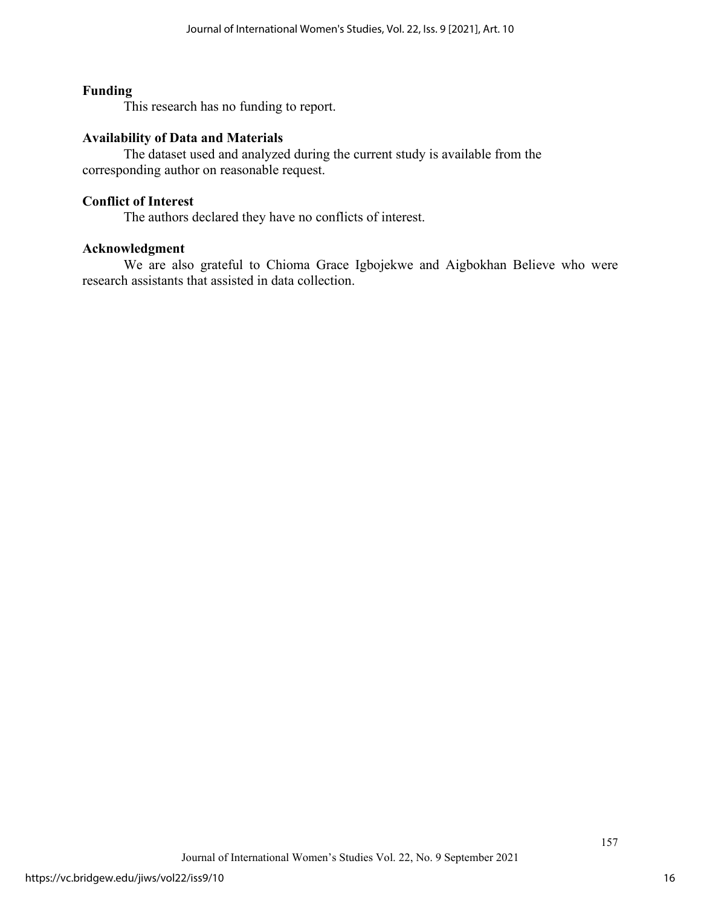## **Funding**

This research has no funding to report.

## **Availability of Data and Materials**

The dataset used and analyzed during the current study is available from the corresponding author on reasonable request.

#### **Conflict of Interest**

The authors declared they have no conflicts of interest.

#### **Acknowledgment**

We are also grateful to Chioma Grace Igbojekwe and Aigbokhan Believe who were research assistants that assisted in data collection.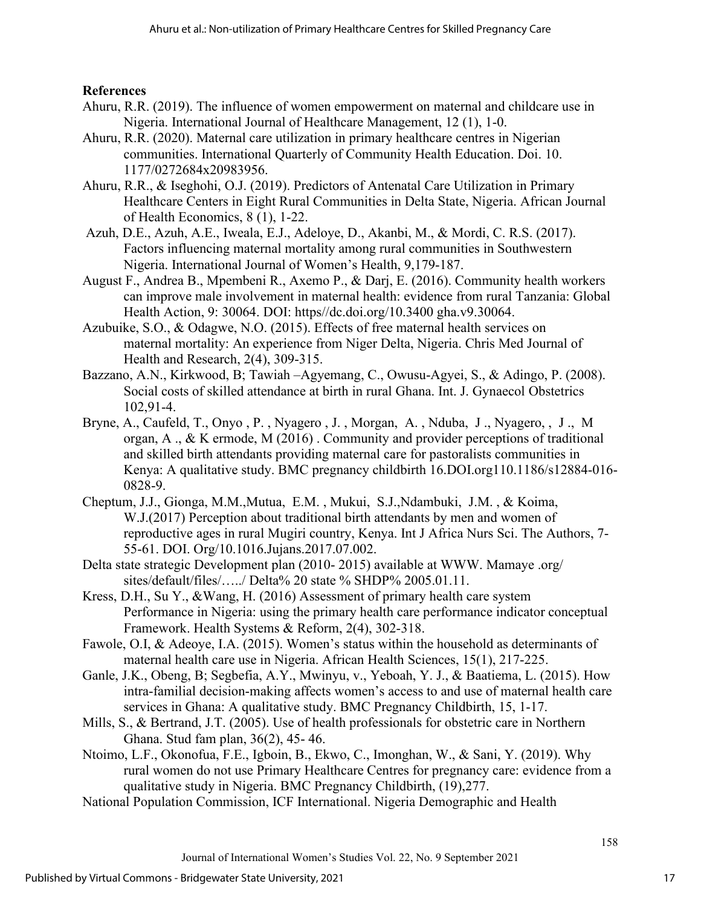## **References**

- Ahuru, R.R. (2019). The influence of women empowerment on maternal and childcare use in Nigeria. International Journal of Healthcare Management, 12 (1), 1-0.
- Ahuru, R.R. (2020). Maternal care utilization in primary healthcare centres in Nigerian communities. International Quarterly of Community Health Education. Doi. 10. 1177/0272684x20983956.
- Ahuru, R.R., & Iseghohi, O.J. (2019). Predictors of Antenatal Care Utilization in Primary Healthcare Centers in Eight Rural Communities in Delta State, Nigeria. African Journal of Health Economics, 8 (1), 1-22.
- Azuh, D.E., Azuh, A.E., Iweala, E.J., Adeloye, D., Akanbi, M., & Mordi, C. R.S. (2017). Factors influencing maternal mortality among rural communities in Southwestern Nigeria. International Journal of Women's Health, 9,179-187.
- August F., Andrea B., Mpembeni R., Axemo P., & Darj, E. (2016). Community health workers can improve male involvement in maternal health: evidence from rural Tanzania: Global Health Action, 9: 30064. DOI: https//dc.doi.org/10.3400 gha.v9.30064.
- Azubuike, S.O., & Odagwe, N.O. (2015). Effects of free maternal health services on maternal mortality: An experience from Niger Delta, Nigeria. Chris Med Journal of Health and Research, 2(4), 309-315.
- Bazzano, A.N., Kirkwood, B; Tawiah –Agyemang, C., Owusu-Agyei, S., & Adingo, P. (2008). Social costs of skilled attendance at birth in rural Ghana. Int. J. Gynaecol Obstetrics 102,91-4.
- Bryne, A., Caufeld, T., Onyo , P. , Nyagero , J. , Morgan, A. , Nduba, J ., Nyagero, , J ., M organ, A ., & K ermode, M (2016) . Community and provider perceptions of traditional and skilled birth attendants providing maternal care for pastoralists communities in Kenya: A qualitative study. BMC pregnancy childbirth 16.DOI.org110.1186/s12884-016- 0828-9.
- Cheptum, J.J., Gionga, M.M.,Mutua, E.M. , Mukui, S.J.,Ndambuki, J.M. , & Koima, W.J.(2017) Perception about traditional birth attendants by men and women of reproductive ages in rural Mugiri country, Kenya. Int J Africa Nurs Sci. The Authors, 7- 55-61. DOI. Org/10.1016.Jujans.2017.07.002.
- Delta state strategic Development plan (2010- 2015) available at WWW. Mamaye .org/ sites/default/files/...../ Delta% 20 state % SHDP% 2005.01.11.
- Kress, D.H., Su Y., &Wang, H. (2016) Assessment of primary health care system Performance in Nigeria: using the primary health care performance indicator conceptual Framework. Health Systems & Reform, 2(4), 302-318.
- Fawole, O.I, & Adeoye, I.A. (2015). Women's status within the household as determinants of maternal health care use in Nigeria. African Health Sciences, 15(1), 217-225.
- Ganle, J.K., Obeng, B; Segbefia, A.Y., Mwinyu, v., Yeboah, Y. J., & Baatiema, L. (2015). How intra-familial decision-making affects women's access to and use of maternal health care services in Ghana: A qualitative study. BMC Pregnancy Childbirth, 15, 1-17.
- Mills, S., & Bertrand, J.T. (2005). Use of health professionals for obstetric care in Northern Ghana. Stud fam plan, 36(2), 45- 46.
- Ntoimo, L.F., Okonofua, F.E., Igboin, B., Ekwo, C., Imonghan, W., & Sani, Y. (2019). Why rural women do not use Primary Healthcare Centres for pregnancy care: evidence from a qualitative study in Nigeria. BMC Pregnancy Childbirth, (19),277.
- National Population Commission, ICF International. Nigeria Demographic and Health